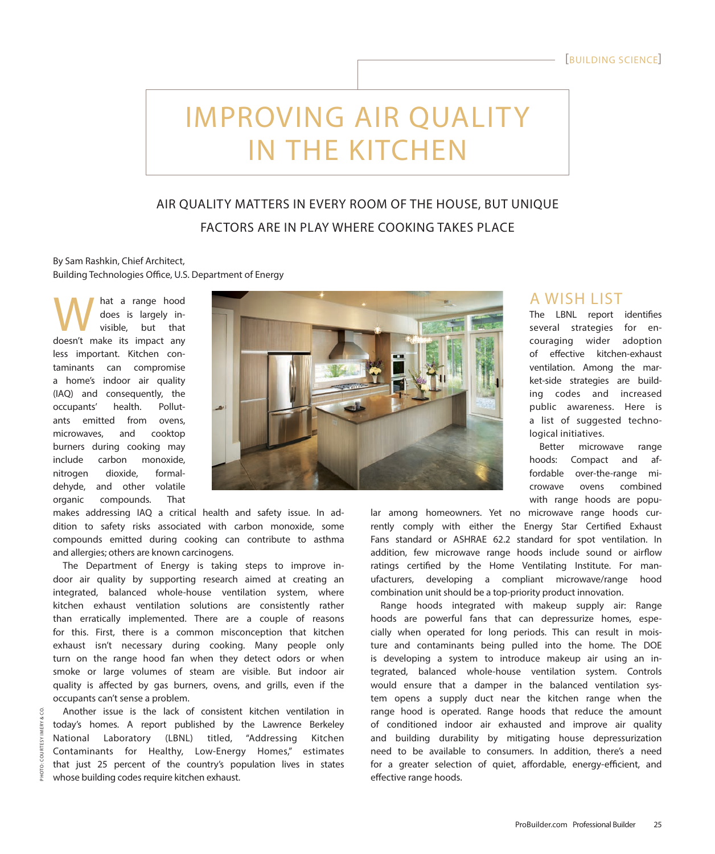# IMPROVING AIR QUALITY IN THE KITCHEN

# AIR QUALITY MATTERS IN EVERY ROOM OF THE HOUSE, BUT UNIQUE FACTORS ARE IN PLAY WHERE COOKING TAKES PLACE

## By Sam Rashkin, Chief Architect, Building Technologies Office, U.S. Department of Energy

W hat a range hood<br>does is largely in-<br>doesn't make its impact any does is largely invisible, but that doesn't make its impact any less important. Kitchen contaminants can compromise a home's indoor air quality (IAQ) and consequently, the occupants' health. Pollutants emitted from ovens, microwaves, and cooktop burners during cooking may include carbon monoxide, nitrogen dioxide, formaldehyde, and other volatile organic compounds. That

PHOTO: COURTESY IMERY & CO.**IMERY** COURTESY



makes addressing IAQ a critical health and safety issue. In addition to safety risks associated with carbon monoxide, some compounds emitted during cooking can contribute to asthma and allergies; others are known carcinogens.

The Department of Energy is taking steps to improve indoor air quality by supporting research aimed at creating an integrated, balanced whole-house ventilation system, where kitchen exhaust ventilation solutions are consistently rather than erratically implemented. There are a couple of reasons for this. First, there is a common misconception that kitchen exhaust isn't necessary during cooking. Many people only turn on the range hood fan when they detect odors or when smoke or large volumes of steam are visible. But indoor air quality is affected by gas burners, ovens, and grills, even if the occupants can't sense a problem.

Another issue is the lack of consistent kitchen ventilation in today's homes. A report published by the Lawrence Berkeley National Laboratory (LBNL) titled, "Addressing Kitchen Contaminants for Healthy, Low-Energy Homes," estimates that just 25 percent of the country's population lives in states whose building codes require kitchen exhaust.

# A WISH LIST

The LBNL report identifies several strategies for encouraging wider adoption of effective kitchen-exhaust ventilation. Among the market-side strategies are building codes and increased public awareness. Here is a list of suggested technological initiatives.

Better microwave range hoods: Compact and affordable over-the-range microwave ovens combined with range hoods are popu-

lar among homeowners. Yet no microwave range hoods currently comply with either the Energy Star Certified Exhaust Fans standard or ASHRAE 62.2 standard for spot ventilation. In addition, few microwave range hoods include sound or airflow ratings certified by the Home Ventilating Institute. For manufacturers, developing a compliant microwave/range hood combination unit should be a top-priority product innovation.

Range hoods integrated with makeup supply air: Range hoods are powerful fans that can depressurize homes, especially when operated for long periods. This can result in moisture and contaminants being pulled into the home. The DOE is developing a system to introduce makeup air using an integrated, balanced whole-house ventilation system. Controls would ensure that a damper in the balanced ventilation system opens a supply duct near the kitchen range when the range hood is operated. Range hoods that reduce the amount of conditioned indoor air exhausted and improve air quality and building durability by mitigating house depressurization need to be available to consumers. In addition, there's a need for a greater selection of quiet, affordable, energy-efficient, and effective range hoods.